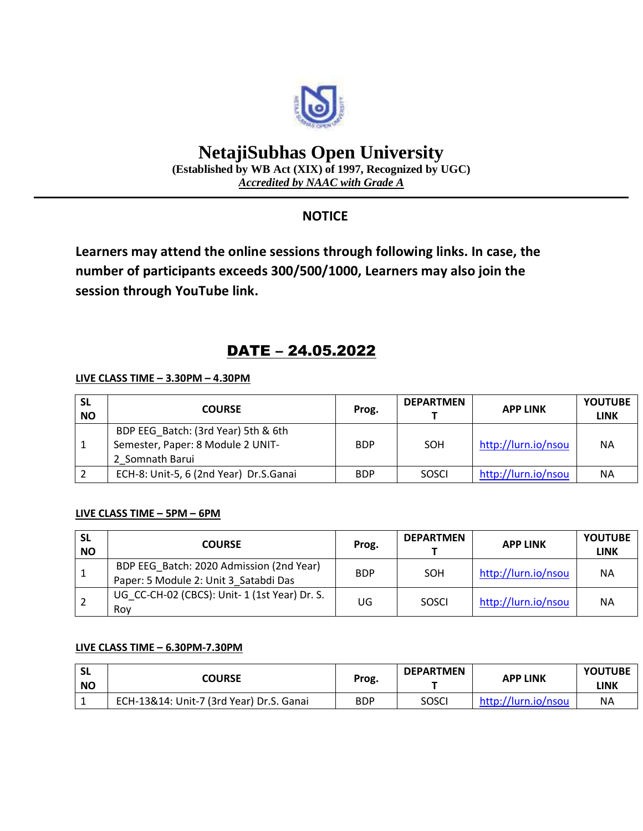

# **NetajiSubhas Open University**

**(Established by WB Act (XIX) of 1997, Recognized by UGC)** *Accredited by NAAC with Grade A*

### **NOTICE**

**Learners may attend the online sessions through following links. In case, the number of participants exceeds 300/500/1000, Learners may also join the session through YouTube link.**

## DATE – 24.05.2022

#### **LIVE CLASS TIME – 3.30PM – 4.30PM**

| <b>SL</b><br><b>NO</b> | <b>COURSE</b>                                                                               | Prog.      | <b>DEPARTMEN</b> | <b>APP LINK</b>     | <b>YOUTUBE</b><br><b>LINK</b> |
|------------------------|---------------------------------------------------------------------------------------------|------------|------------------|---------------------|-------------------------------|
|                        | BDP EEG Batch: (3rd Year) 5th & 6th<br>Semester, Paper: 8 Module 2 UNIT-<br>2 Somnath Barui | <b>BDP</b> | SOH              | http://lurn.io/nsou | <b>NA</b>                     |
|                        | ECH-8: Unit-5, 6 (2nd Year) Dr.S.Ganai                                                      | <b>BDP</b> | SOSCI            | http://lurn.io/nsou | <b>NA</b>                     |

#### **LIVE CLASS TIME – 5PM – 6PM**

| <b>SL</b><br><b>NO</b> | <b>COURSE</b>                                                                     | Prog.      | <b>DEPARTMEN</b> | <b>APP LINK</b>     | <b>YOUTUBE</b><br><b>LINK</b> |
|------------------------|-----------------------------------------------------------------------------------|------------|------------------|---------------------|-------------------------------|
|                        | BDP EEG Batch: 2020 Admission (2nd Year)<br>Paper: 5 Module 2: Unit 3 Satabdi Das | <b>BDP</b> | SOH              | http://lurn.io/nsou | <b>NA</b>                     |
| 2                      | UG CC-CH-02 (CBCS): Unit-1 (1st Year) Dr. S.<br>Rov                               | UG         | SOSCI            | http://lurn.io/nsou | <b>NA</b>                     |

#### **LIVE CLASS TIME – 6.30PM-7.30PM**

| <b>SL</b><br><b>NO</b> | COURSE                                   | Prog.      | <b>DEPARTMEN</b> | <b>APP LINK</b>     | <b>YOUTUBE</b><br>LINK |
|------------------------|------------------------------------------|------------|------------------|---------------------|------------------------|
|                        | ECH-13&14: Unit-7 (3rd Year) Dr.S. Ganai | <b>BDP</b> | SOSCI            | http://lurn.io/nsou | <b>NA</b>              |